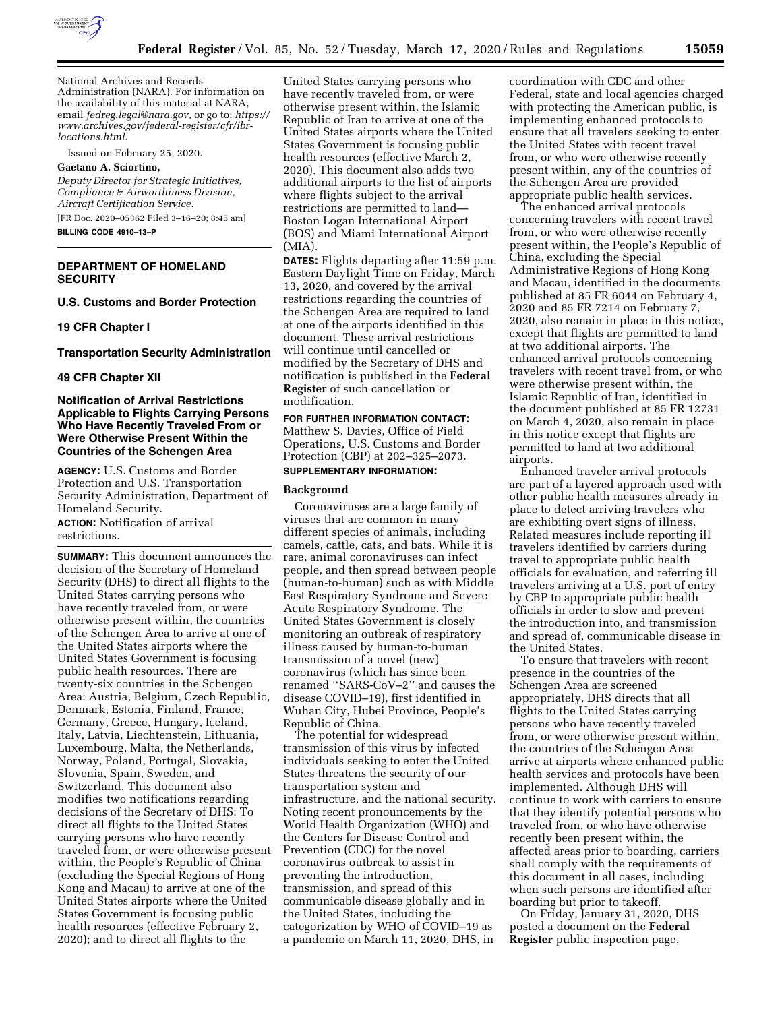

National Archives and Records Administration (NARA). For information on the availability of this material at NARA, email *[fedreg.legal@nara.gov,](mailto:fedreg.legal@nara.gov)* or go to: *[https://](https://www.archives.gov/federal-register/cfr/ibr-locations.html) [www.archives.gov/federal-register/cfr/ibr](https://www.archives.gov/federal-register/cfr/ibr-locations.html)[locations.html](https://www.archives.gov/federal-register/cfr/ibr-locations.html)*.

Issued on February 25, 2020.

#### **Gaetano A. Sciortino,**

*Deputy Director for Strategic Initiatives, Compliance & Airworthiness Division, Aircraft Certification Service.* 

[FR Doc. 2020–05362 Filed 3–16–20; 8:45 am] **BILLING CODE 4910–13–P** 

# **DEPARTMENT OF HOMELAND SECURITY**

**U.S. Customs and Border Protection** 

#### **19 CFR Chapter I**

#### **Transportation Security Administration**

# **49 CFR Chapter XII**

## **Notification of Arrival Restrictions Applicable to Flights Carrying Persons Who Have Recently Traveled From or Were Otherwise Present Within the Countries of the Schengen Area**

**AGENCY:** U.S. Customs and Border Protection and U.S. Transportation Security Administration, Department of Homeland Security.

**ACTION:** Notification of arrival restrictions.

**SUMMARY:** This document announces the decision of the Secretary of Homeland Security (DHS) to direct all flights to the United States carrying persons who have recently traveled from, or were otherwise present within, the countries of the Schengen Area to arrive at one of the United States airports where the United States Government is focusing public health resources. There are twenty-six countries in the Schengen Area: Austria, Belgium, Czech Republic, Denmark, Estonia, Finland, France, Germany, Greece, Hungary, Iceland, Italy, Latvia, Liechtenstein, Lithuania, Luxembourg, Malta, the Netherlands, Norway, Poland, Portugal, Slovakia, Slovenia, Spain, Sweden, and Switzerland. This document also modifies two notifications regarding decisions of the Secretary of DHS: To direct all flights to the United States carrying persons who have recently traveled from, or were otherwise present within, the People's Republic of China (excluding the Special Regions of Hong Kong and Macau) to arrive at one of the United States airports where the United States Government is focusing public health resources (effective February 2, 2020); and to direct all flights to the

United States carrying persons who have recently traveled from, or were otherwise present within, the Islamic Republic of Iran to arrive at one of the United States airports where the United States Government is focusing public health resources (effective March 2, 2020). This document also adds two additional airports to the list of airports where flights subject to the arrival restrictions are permitted to land— Boston Logan International Airport (BOS) and Miami International Airport (MIA).

**DATES:** Flights departing after 11:59 p.m. Eastern Daylight Time on Friday, March 13, 2020, and covered by the arrival restrictions regarding the countries of the Schengen Area are required to land at one of the airports identified in this document. These arrival restrictions will continue until cancelled or modified by the Secretary of DHS and notification is published in the **Federal Register** of such cancellation or modification.

**FOR FURTHER INFORMATION CONTACT:**  Matthew S. Davies, Office of Field Operations, U.S. Customs and Border Protection (CBP) at 202–325–2073.

# **SUPPLEMENTARY INFORMATION:**

#### **Background**

Coronaviruses are a large family of viruses that are common in many different species of animals, including camels, cattle, cats, and bats. While it is rare, animal coronaviruses can infect people, and then spread between people (human-to-human) such as with Middle East Respiratory Syndrome and Severe Acute Respiratory Syndrome. The United States Government is closely monitoring an outbreak of respiratory illness caused by human-to-human transmission of a novel (new) coronavirus (which has since been renamed ''SARS-CoV–2'' and causes the disease COVID–19), first identified in Wuhan City, Hubei Province, People's Republic of China.

The potential for widespread transmission of this virus by infected individuals seeking to enter the United States threatens the security of our transportation system and infrastructure, and the national security. Noting recent pronouncements by the World Health Organization (WHO) and the Centers for Disease Control and Prevention (CDC) for the novel coronavirus outbreak to assist in preventing the introduction, transmission, and spread of this communicable disease globally and in the United States, including the categorization by WHO of COVID–19 as a pandemic on March 11, 2020, DHS, in

coordination with CDC and other Federal, state and local agencies charged with protecting the American public, is implementing enhanced protocols to ensure that all travelers seeking to enter the United States with recent travel from, or who were otherwise recently present within, any of the countries of the Schengen Area are provided appropriate public health services.

The enhanced arrival protocols concerning travelers with recent travel from, or who were otherwise recently present within, the People's Republic of China, excluding the Special Administrative Regions of Hong Kong and Macau, identified in the documents published at 85 FR 6044 on February 4, 2020 and 85 FR 7214 on February 7, 2020, also remain in place in this notice, except that flights are permitted to land at two additional airports. The enhanced arrival protocols concerning travelers with recent travel from, or who were otherwise present within, the Islamic Republic of Iran, identified in the document published at 85 FR 12731 on March 4, 2020, also remain in place in this notice except that flights are permitted to land at two additional airports.

Enhanced traveler arrival protocols are part of a layered approach used with other public health measures already in place to detect arriving travelers who are exhibiting overt signs of illness. Related measures include reporting ill travelers identified by carriers during travel to appropriate public health officials for evaluation, and referring ill travelers arriving at a U.S. port of entry by CBP to appropriate public health officials in order to slow and prevent the introduction into, and transmission and spread of, communicable disease in the United States.

To ensure that travelers with recent presence in the countries of the Schengen Area are screened appropriately, DHS directs that all flights to the United States carrying persons who have recently traveled from, or were otherwise present within, the countries of the Schengen Area arrive at airports where enhanced public health services and protocols have been implemented. Although DHS will continue to work with carriers to ensure that they identify potential persons who traveled from, or who have otherwise recently been present within, the affected areas prior to boarding, carriers shall comply with the requirements of this document in all cases, including when such persons are identified after boarding but prior to takeoff.

On Friday, January 31, 2020, DHS posted a document on the **Federal Register** public inspection page,